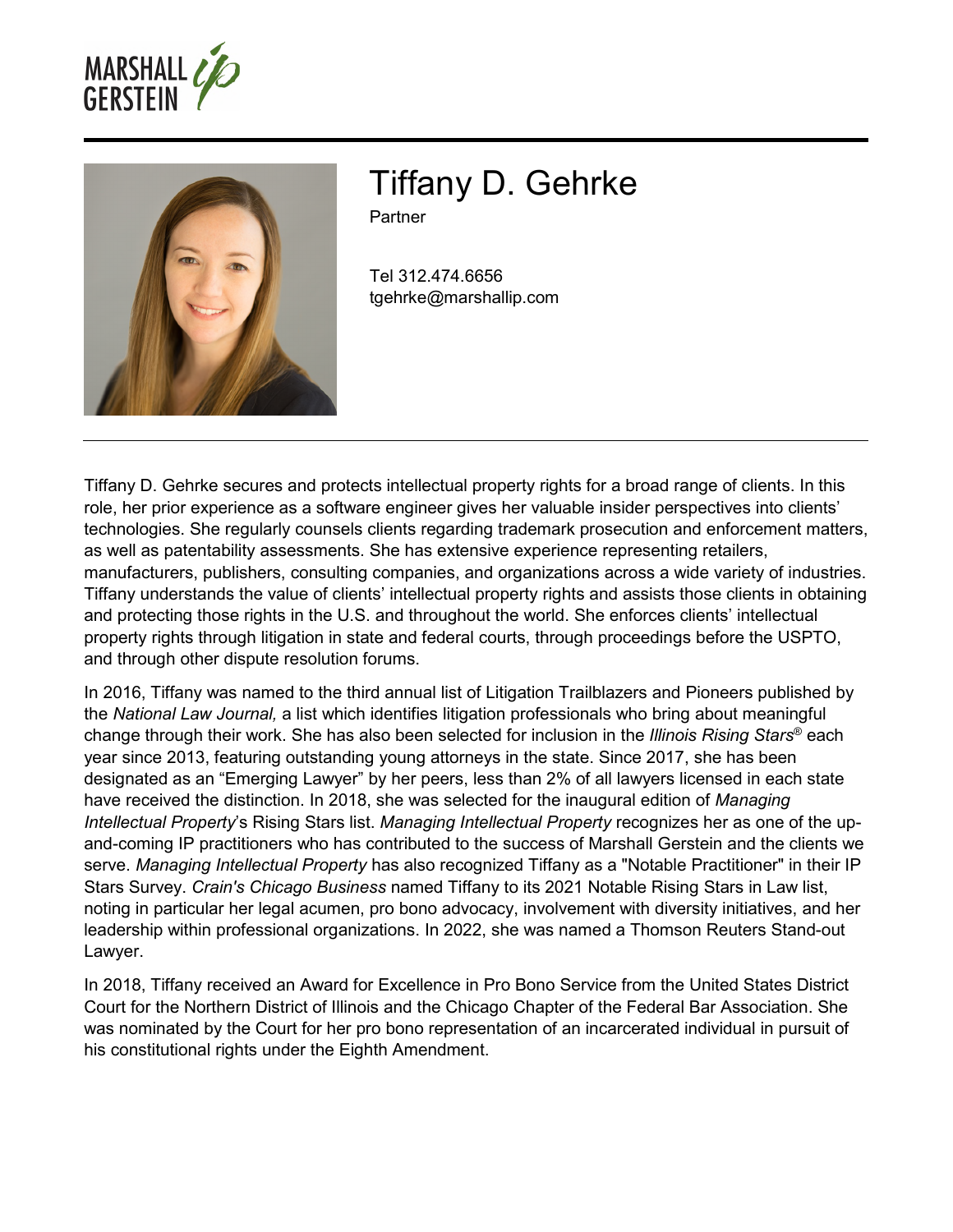



Tiffany D. Gehrke

Partner

Tel 312.474.6656 tgehrke@marshallip.com

Tiffany D. Gehrke secures and protects intellectual property rights for a broad range of clients. In this role, her prior experience as a software engineer gives her valuable insider perspectives into clients' technologies. She regularly counsels clients regarding trademark prosecution and enforcement matters, as well as patentability assessments. She has extensive experience representing retailers, manufacturers, publishers, consulting companies, and organizations across a wide variety of industries. Tiffany understands the value of clients' intellectual property rights and assists those clients in obtaining and protecting those rights in the U.S. and throughout the world. She enforces clients' intellectual property rights through litigation in state and federal courts, through proceedings before the USPTO, and through other dispute resolution forums.

In 2016, Tiffany was named to the third annual list of Litigation Trailblazers and Pioneers published by the *National Law Journal,* a list which identifies litigation professionals who bring about meaningful change through their work. She has also been selected for inclusion in the *Illinois Rising Stars*® each year since 2013, featuring outstanding young attorneys in the state. Since 2017, she has been designated as an "Emerging Lawyer" by her peers, less than 2% of all lawyers licensed in each state have received the distinction. In 2018, she was selected for the inaugural edition of *Managing Intellectual Property*'s Rising Stars list. *Managing Intellectual Property* recognizes her as one of the upand-coming IP practitioners who has contributed to the success of Marshall Gerstein and the clients we serve. *Managing Intellectual Property* has also recognized Tiffany as a "Notable Practitioner" in their IP Stars Survey. *Crain's Chicago Business* named Tiffany to its 2021 Notable Rising Stars in Law list, noting in particular her legal acumen, pro bono advocacy, involvement with diversity initiatives, and her leadership within professional organizations. In 2022, she was named a Thomson Reuters Stand-out Lawyer.

In 2018, Tiffany received an Award for Excellence in Pro Bono Service from the United States District Court for the Northern District of Illinois and the Chicago Chapter of the Federal Bar Association. She was nominated by the Court for her pro bono representation of an incarcerated individual in pursuit of his constitutional rights under the Eighth Amendment.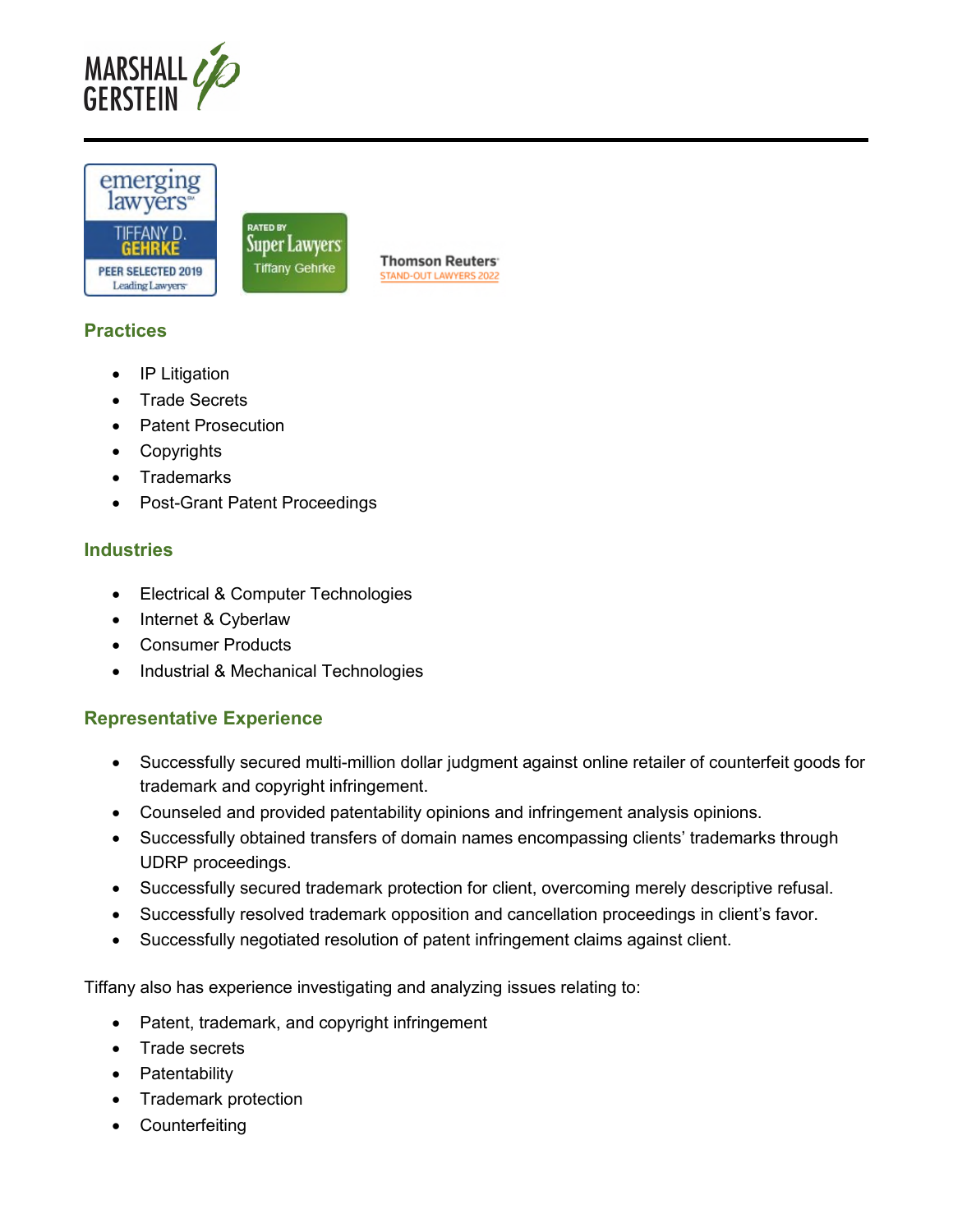



## **Practices**

- IP Litigation
- Trade Secrets
- Patent Prosecution
- Copyrights
- Trademarks
- Post-Grant Patent Proceedings

#### **Industries**

- Electrical & Computer Technologies
- Internet & Cyberlaw
- Consumer Products
- Industrial & Mechanical Technologies

## **Representative Experience**

- Successfully secured multi-million dollar judgment against online retailer of counterfeit goods for trademark and copyright infringement.
- Counseled and provided patentability opinions and infringement analysis opinions.
- Successfully obtained transfers of domain names encompassing clients' trademarks through UDRP proceedings.
- Successfully secured trademark protection for client, overcoming merely descriptive refusal.
- Successfully resolved trademark opposition and cancellation proceedings in client's favor.
- Successfully negotiated resolution of patent infringement claims against client.

Tiffany also has experience investigating and analyzing issues relating to:

- Patent, trademark, and copyright infringement
- Trade secrets
- Patentability
- Trademark protection
- Counterfeiting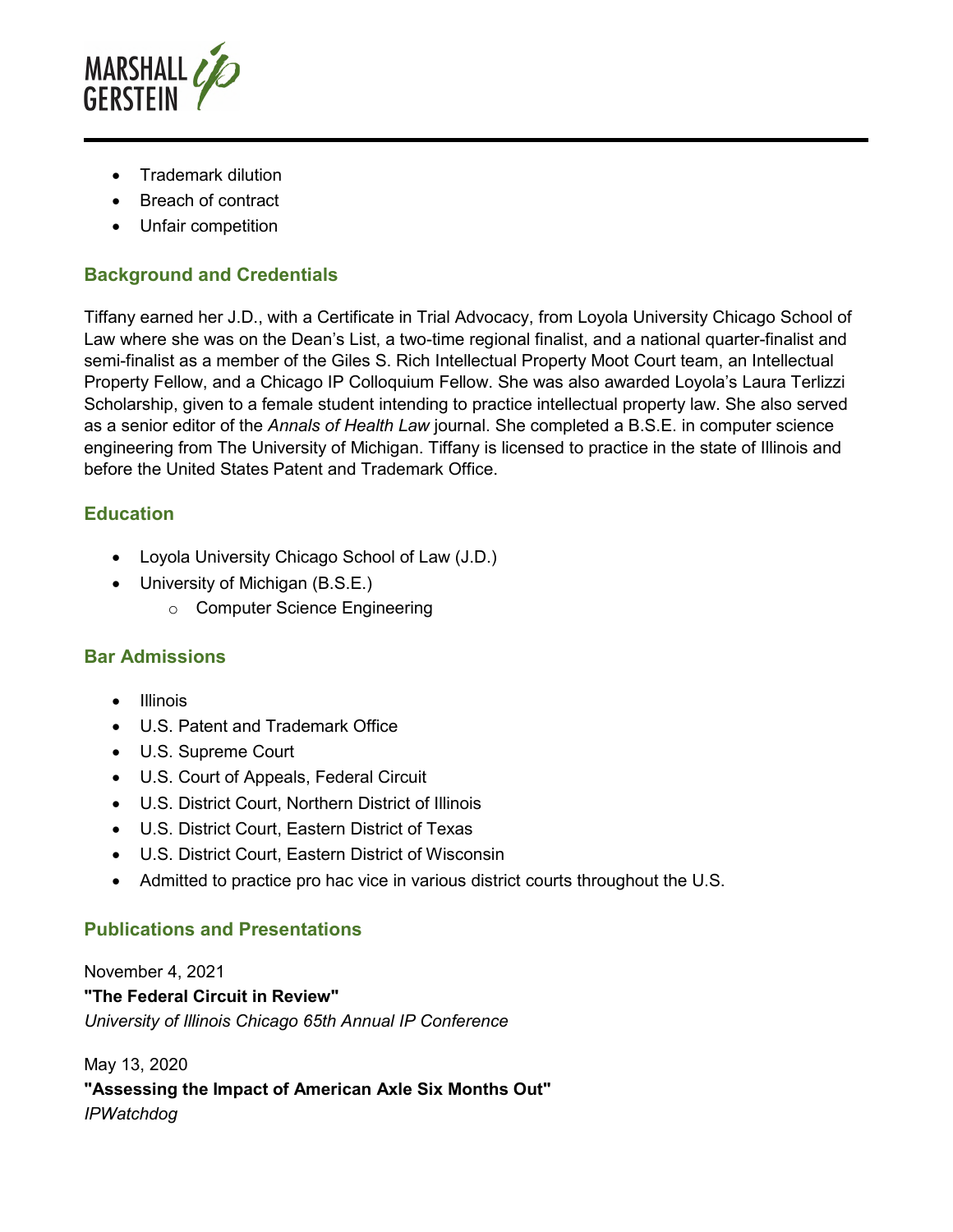

- Trademark dilution
- Breach of contract
- Unfair competition

# **Background and Credentials**

Tiffany earned her J.D., with a Certificate in Trial Advocacy, from Loyola University Chicago School of Law where she was on the Dean's List, a two-time regional finalist, and a national quarter-finalist and semi-finalist as a member of the Giles S. Rich Intellectual Property Moot Court team, an Intellectual Property Fellow, and a Chicago IP Colloquium Fellow. She was also awarded Loyola's Laura Terlizzi Scholarship, given to a female student intending to practice intellectual property law. She also served as a senior editor of the *Annals of Health Law* journal. She completed a B.S.E. in computer science engineering from The University of Michigan. Tiffany is licensed to practice in the state of Illinois and before the United States Patent and Trademark Office.

## **Education**

- Loyola University Chicago School of Law (J.D.)
- University of Michigan (B.S.E.)
	- o Computer Science Engineering

#### **Bar Admissions**

- Illinois
- U.S. Patent and Trademark Office
- U.S. Supreme Court
- U.S. Court of Appeals, Federal Circuit
- U.S. District Court, Northern District of Illinois
- U.S. District Court, Eastern District of Texas
- U.S. District Court, Eastern District of Wisconsin
- Admitted to practice pro hac vice in various district courts throughout the U.S.

## **Publications and Presentations**

November 4, 2021 **"The Federal Circuit in Review"**  *University of Illinois Chicago 65th Annual IP Conference* 

May 13, 2020 **"Assessing the Impact of American Axle Six Months Out"**  *IPWatchdog*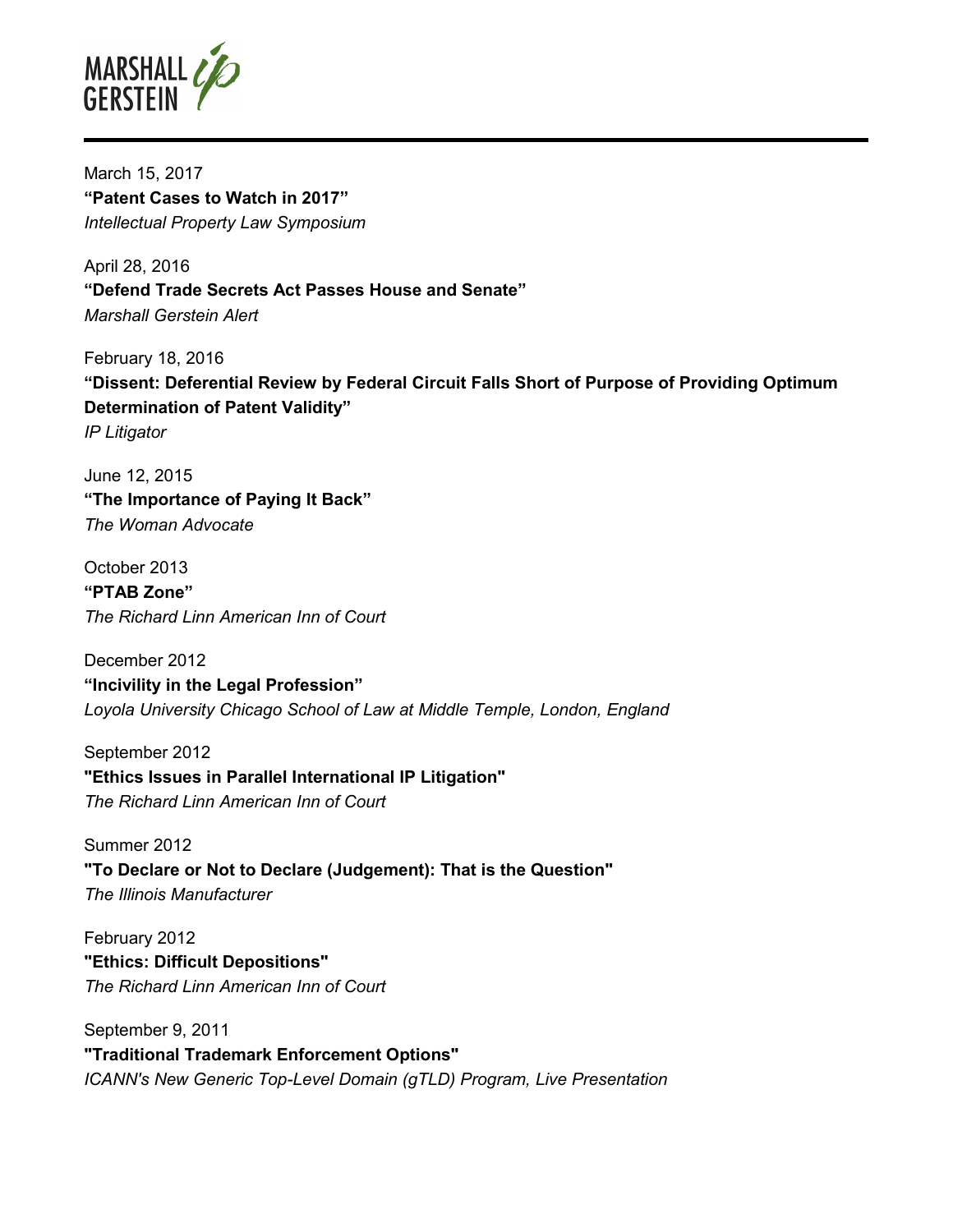

March 15, 2017 **"Patent Cases to Watch in 2017"**  *Intellectual Property Law Symposium* 

April 28, 2016 **"Defend Trade Secrets Act Passes House and Senate"**  *Marshall Gerstein Alert* 

February 18, 2016 **"Dissent: Deferential Review by Federal Circuit Falls Short of Purpose of Providing Optimum Determination of Patent Validity"**  *IP Litigator* 

June 12, 2015 **"The Importance of Paying It Back"**  *The Woman Advocate* 

October 2013 **"PTAB Zone"**  *The Richard Linn American Inn of Court* 

December 2012 **"Incivility in the Legal Profession"**  *Loyola University Chicago School of Law at Middle Temple, London, England* 

September 2012 **"Ethics Issues in Parallel International IP Litigation"**  *The Richard Linn American Inn of Court* 

Summer 2012 **"To Declare or Not to Declare (Judgement): That is the Question"**  *The Illinois Manufacturer* 

February 2012 **"Ethics: Difficult Depositions"**  *The Richard Linn American Inn of Court* 

September 9, 2011 **"Traditional Trademark Enforcement Options"**  *ICANN's New Generic Top-Level Domain (gTLD) Program, Live Presentation*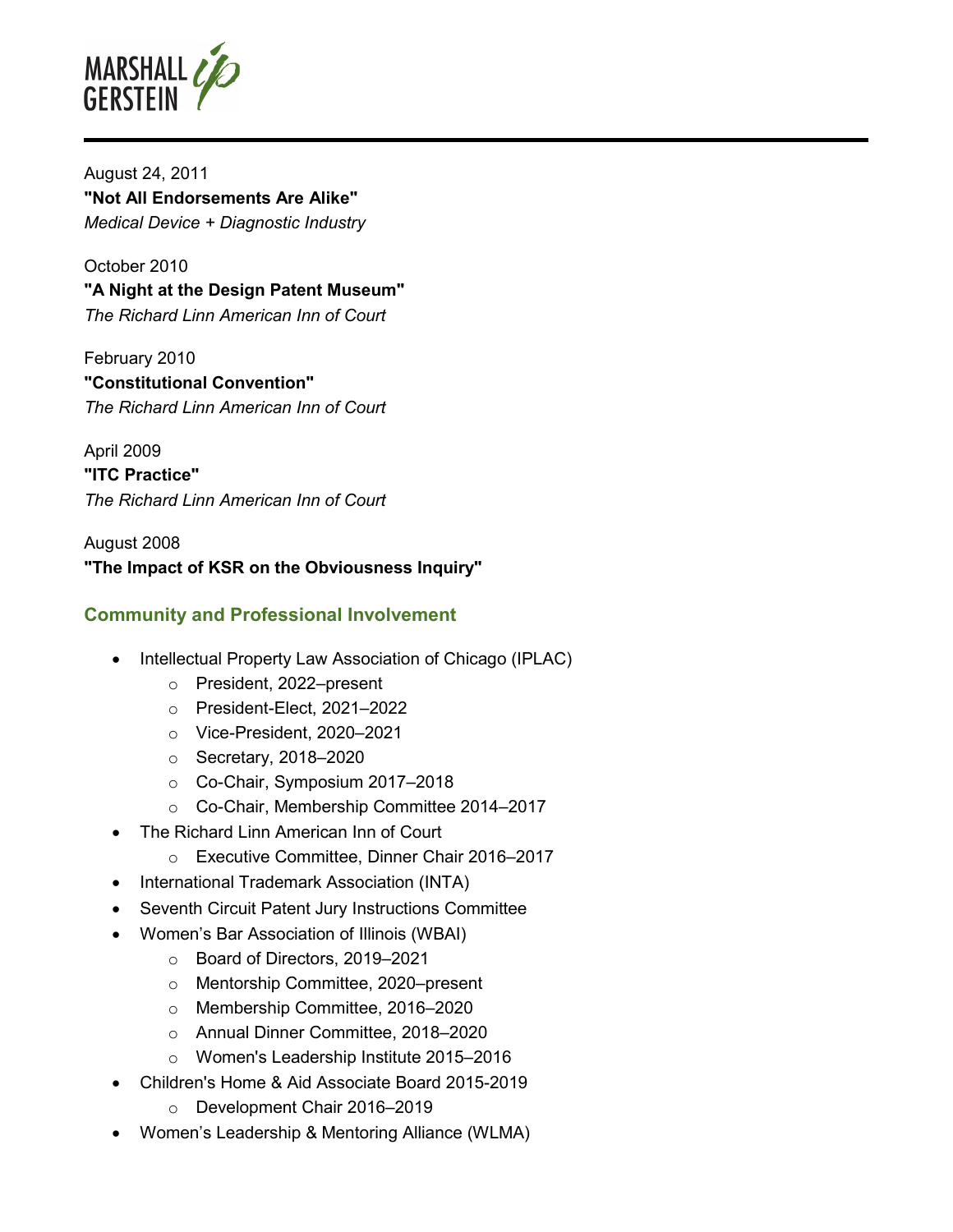

August 24, 2011 **"Not All Endorsements Are Alike"**  *Medical Device + Diagnostic Industry* 

October 2010 **"A Night at the Design Patent Museum"**  *The Richard Linn American Inn of Court* 

February 2010 **"Constitutional Convention"**  *The Richard Linn American Inn of Court* 

April 2009 **"ITC Practice"**  *The Richard Linn American Inn of Court* 

August 2008 **"The Impact of KSR on the Obviousness Inquiry"** 

## **Community and Professional Involvement**

- Intellectual Property Law Association of Chicago (IPLAC)
	- o President, 2022–present
	- o President-Elect, 2021–2022
	- o Vice-President, 2020–2021
	- o Secretary, 2018–2020
	- o Co-Chair, Symposium 2017–2018
	- o Co-Chair, Membership Committee 2014–2017
- The Richard Linn American Inn of Court
	- o Executive Committee, Dinner Chair 2016–2017
- International Trademark Association (INTA)
- Seventh Circuit Patent Jury Instructions Committee
- Women's Bar Association of Illinois (WBAI)
	- o Board of Directors, 2019–2021
	- o Mentorship Committee, 2020–present
	- o Membership Committee, 2016–2020
	- o Annual Dinner Committee, 2018–2020
	- o Women's Leadership Institute 2015–2016
- Children's Home & Aid Associate Board 2015-2019
	- o Development Chair 2016–2019
- Women's Leadership & Mentoring Alliance (WLMA)